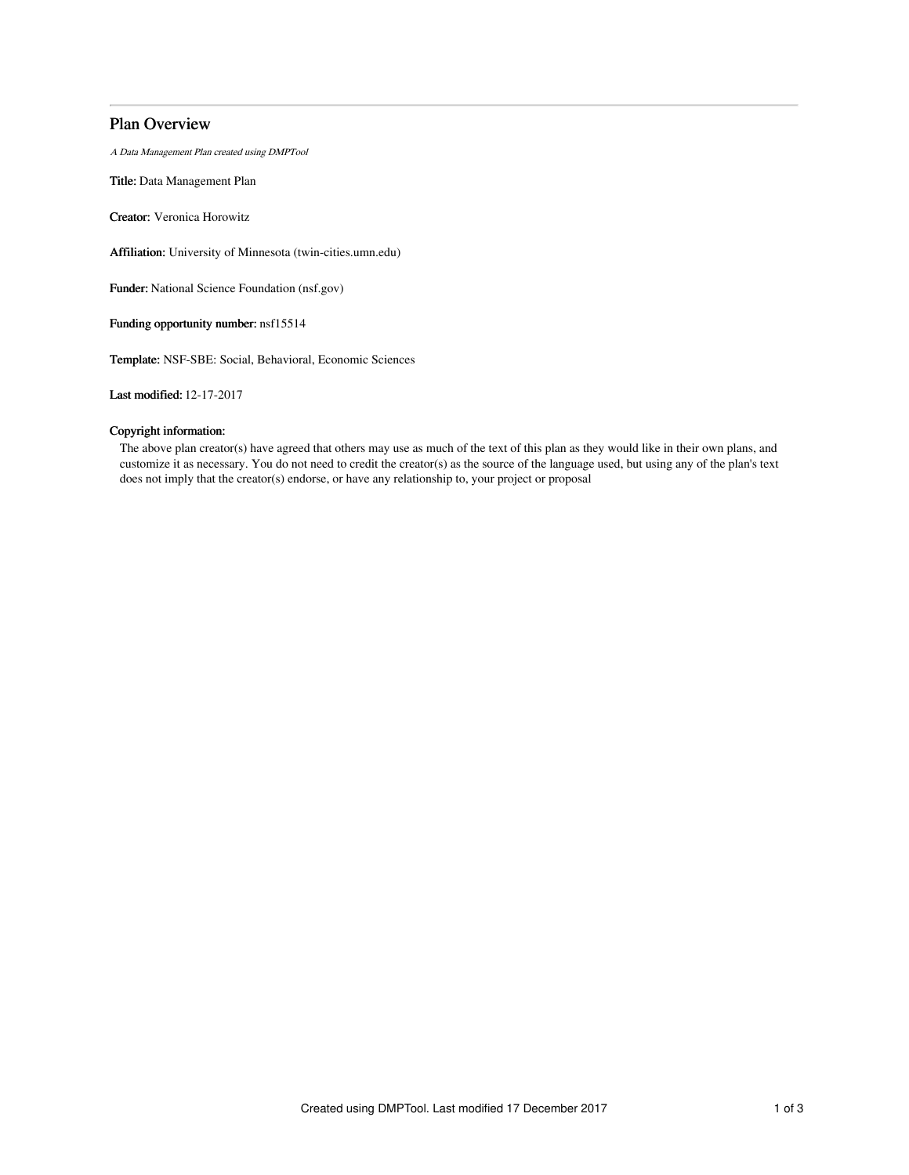# Plan Overview

A Data Management Plan created using DMPTool

Title: Data Management Plan

Creator: Veronica Horowitz

Affiliation: University of Minnesota (twin-cities.umn.edu)

Funder: National Science Foundation (nsf.gov)

Funding opportunity number: nsf15514

Template: NSF-SBE: Social, Behavioral, Economic Sciences

Last modified: 12-17-2017

## Copyright information:

The above plan creator(s) have agreed that others may use as much of the text of this plan as they would like in their own plans, and customize it as necessary. You do not need to credit the creator(s) as the source of the language used, but using any of the plan's text does not imply that the creator(s) endorse, or have any relationship to, your project or proposal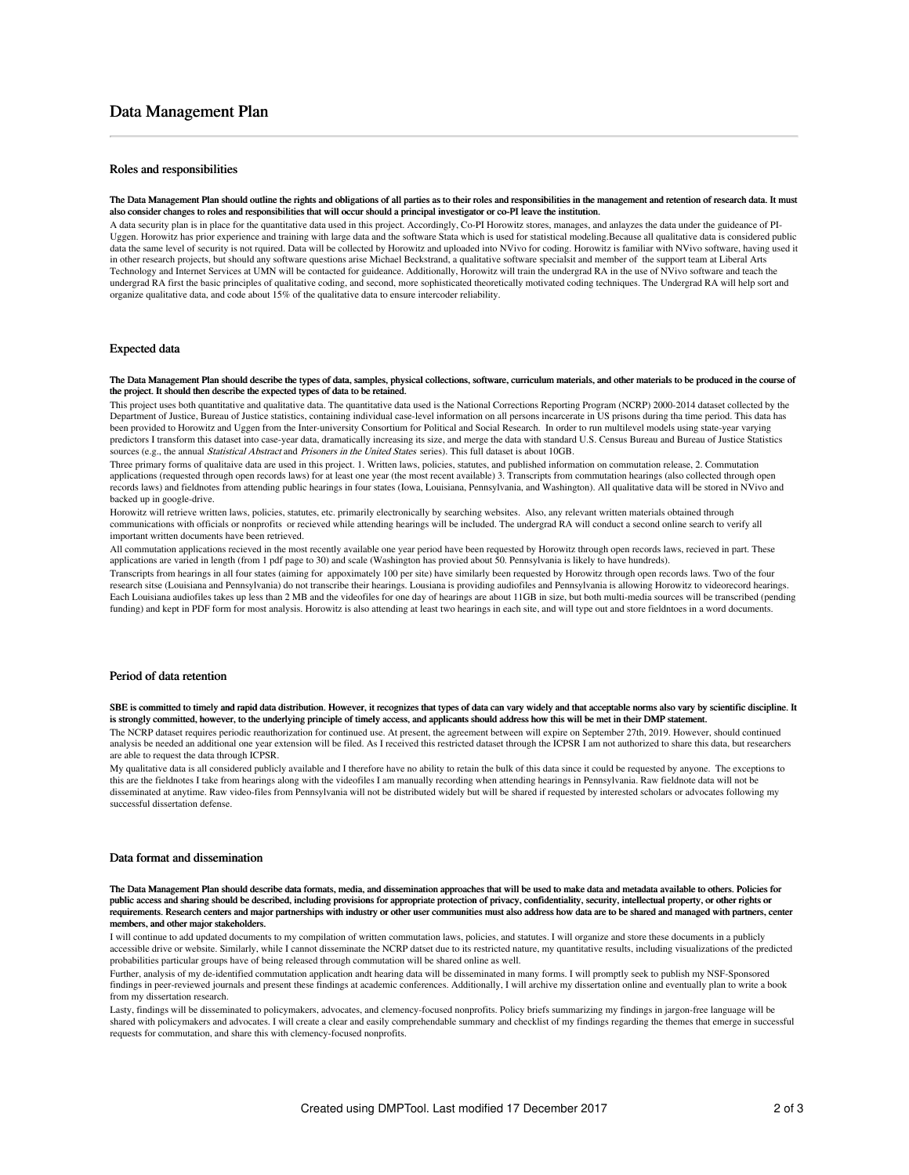# Data Management Plan

## Roles and responsibilities

#### The Data Management Plan should outline the rights and obligations of all parties as to their roles and responsibilities in the management and retention of research data. It must also consider changes to roles and responsibilities that will occur should a principal investigator or co-PI leave the institution.

A data security plan is in place for the quantitative data used in this project. Accordingly, Co-PI Horowitz stores, manages, and anlayzes the data under the guideance of PI-Uggen. Horowitz has prior experience and training with large data and the software Stata which is used for statistical modeling.Because all qualitative data is considered public data the same level of security is not rquired. Data will be collected by Horowitz and uploaded into NVivo for coding. Horowitz is familiar with NVivo software, having used it in other research projects, but should any software questions arise Michael Beckstrand, a qualitative software specialsit and member of the support team at Liberal Arts Technology and Internet Services at UMN will be contacted for guideance. Additionally, Horowitz will train the undergrad RA in the use of NVivo software and teach the undergrad RA first the basic principles of qualitative coding, and second, more sophisticated theoretically motivated coding techniques. The Undergrad RA will help sort and organize qualitative data, and code about 15% of the qualitative data to ensure intercoder reliability.

## Expected data

#### The Data Management Plan should describe the types of data, samples, physical collections, software, curriculum materials, and other materials to be produced in the course of the project. It should then describe the expected types of data to be retained.

This project uses both quantitative and qualitative data. The quantitative data used is the National Corrections Reporting Program (NCRP) 2000-2014 dataset collected by the Department of Justice, Bureau of Justice statistics, containing individual case-level information on all persons incarcerate in US prisons during tha time period. This data has been provided to Horowitz and Uggen from the Inter-university Consortium for Political and Social Research. In order to run multilevel models using state-year varying predictors I transform this dataset into case-year data, dramatically increasing its size, and merge the data with standard U.S. Census Bureau and Bureau of Justice Statistics sources (e.g., the annual Statistical Abstract and Prisoners in the United States series). This full dataset is about 10GB.

Three primary forms of qualitaive data are used in this project. 1. Written laws, policies, statutes, and published information on commutation release, 2. Commutation applications (requested through open records laws) for at least one year (the most recent available) 3. Transcripts from commutation hearings (also collected through open records laws) and fieldnotes from attending public hearings in four states (Iowa, Louisiana, Pennsylvania, and Washington). All qualitative data will be stored in NVivo and backed up in google-drive.

Horowitz will retrieve written laws, policies, statutes, etc. primarily electronically by searching websites. Also, any relevant written materials obtained through communications with officials or nonprofits or recieved while attending hearings will be included. The undergrad RA will conduct a second online search to verify all important written documents have been retrieved.

All commutation applications recieved in the most recently available one year period have been requested by Horowitz through open records laws, recieved in part. These applications are varied in length (from 1 pdf page to 30) and scale (Washington has provied about 50. Pennsylvania is likely to have hundreds).

Transcripts from hearings in all four states (aiming for appoximately 100 per site) have similarly been requested by Horowitz through open records laws. Two of the four research sitse (Louisiana and Pennsylvania) do not transcribe their hearings. Lousiana is providing audiofiles and Pennsylvania is allowing Horowitz to videorecord hearings. Each Louisiana audiofiles takes up less than 2 MB and the videofiles for one day of hearings are about 11GB in size, but both multi-media sources will be transcribed (pending funding) and kept in PDF form for most analysis. Horowitz is also attending at least two hearings in each site, and will type out and store fieldntoes in a word documents

#### Period of data retention

SBE is committed to timely and rapid data distribution. However, it recognizes that types of data can vary widely and that acceptable norms also vary by scientific discipline. It is strongly committed, however, to the underlying principle of timely access, and applicants should address how this will be met in their DMP statement.

The NCRP dataset requires periodic reauthorization for continued use. At present, the agreement between will expire on September 27th, 2019. However, should continued analysis be needed an additional one year extension will be filed. As I received this restricted dataset through the ICPSR I am not authorized to share this data, but researchers are able to request the data through ICPSR.

My qualitative data is all considered publicly available and I therefore have no ability to retain the bulk of this data since it could be requested by anyone. The exceptions to this are the fieldnotes I take from hearings along with the videofiles I am manually recording when attending hearings in Pennsylvania. Raw fieldnote data will not be disseminated at anytime. Raw video-files from Pennsylvania will not be distributed widely but will be shared if requested by interested scholars or advocates following my successful dissertation defense.

## Data format and dissemination

The Data Management Plan should describe data formats, media, and dissemination approaches that will be used to make data and metadata available to others. Policies for public access and sharing should be described, including provisions for appropriate protection of privacy, confidentiality, security, intellectual property, or other rights or requirements. Research centers and major partnerships with industry or other user communities must also address how data are to be shared and managed with partners, center mbers, and other major stakeholders.

I will continue to add updated documents to my compilation of written commutation laws, policies, and statutes. I will organize and store these documents in a publicly accessible drive or website. Similarly, while I cannot disseminate the NCRP datset due to its restricted nature, my quantitative results, including visualizations of the predicted probabilities particular groups have of being released through commutation will be shared online as well.

Further, analysis of my de-identified commutation application andt hearing data will be disseminated in many forms. I will promptly seek to publish my NSF-Sponsored findings in peer-reviewed journals and present these findings at academic conferences. Additionally, I will archive my dissertation online and eventually plan to write a book from my dissertation research.

Lasty, findings will be disseminated to policymakers, advocates, and clemency-focused nonprofits. Policy briefs summarizing my findings in jargon-free language will be shared with policymakers and advocates. I will create a clear and easily comprehendable summary and checklist of my findings regarding the themes that emerge in successful requests for commutation, and share this with clemency-focused nonprofits.